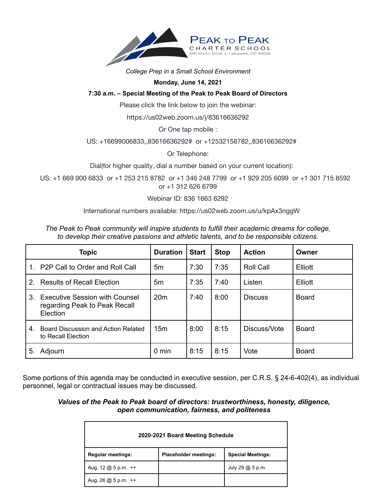

### *College Prep in a Small School Environment*

### **Monday, June 14, 2021**

# **7:30 a.m. – Special Meeting of the Peak to Peak Board of Directors**

Please click the link below to join the webinar:

https://us02web.zoom.us/j/83616636292

Or One tap mobile :

# US: +16699006833,,83616636292# or +12532158782,,83616636292#

Or Telephone:

Dial(for higher quality, dial a number based on your current location):

US: +1 669 900 6833 or +1 253 215 8782 or +1 346 248 7799 or +1 929 205 6099 or +1 301 715 8592 or +1 312 626 6799

Webinar ID: 836 1663 6292

International numbers available: https://us02web.zoom.us/u/kpAx3nggW

|               | <b>Topic</b>                                                                   | <b>Duration</b> | <b>Start</b> | <b>Stop</b> | <b>Action</b>    | Owner        |
|---------------|--------------------------------------------------------------------------------|-----------------|--------------|-------------|------------------|--------------|
| $\mathbf 1$   | P2P Call to Order and Roll Call                                                | 5m              | 7:30         | 7:35        | <b>Roll Call</b> | Elliott      |
| $\mathcal{P}$ | <b>Results of Recall Election</b>                                              | 5m              | 7:35         | 7:40        | Listen           | Elliott      |
|               | 3. Executive Session with Counsel<br>regarding Peak to Peak Recall<br>Election | 20 <sub>m</sub> | 7:40         | 8:00        | <b>Discuss</b>   | Board        |
| 4.            | Board Discussion and Action Related<br>to Recall Election                      | 15 <sub>m</sub> | 8:00         | 8:15        | Discuss/Vote     | <b>Board</b> |
| 5.            | Adjourn                                                                        | 0 min           | 8:15         | 8:15        | Vote             | Board        |

*The Peak to Peak community will inspire students to fulfill their academic dreams for college, to develop their creative passions and athletic talents, and to be responsible citizens.*

Some portions of this agenda may be conducted in executive session, per C.R.S. § 24-6-402(4), as individual personnel, legal or contractual issues may be discussed.

# *Values of the Peak to Peak board of directors: trustworthiness, honesty, diligence, open communication, fairness, and politeness*

| 2020-2021 Board Meeting Schedule                                      |                              |                          |  |  |  |  |  |
|-----------------------------------------------------------------------|------------------------------|--------------------------|--|--|--|--|--|
| <b>Regular meetings:</b>                                              | <b>Placeholder meetings:</b> | <b>Special Meetings:</b> |  |  |  |  |  |
| Aug. $12 \text{ } \textcircled{a} 5 \text{ } \text{p.m.} \text{ } ++$ |                              | July 29 @ 5 p.m.         |  |  |  |  |  |
| Aug. 26 $@$ 5 p.m. $++$                                               |                              |                          |  |  |  |  |  |